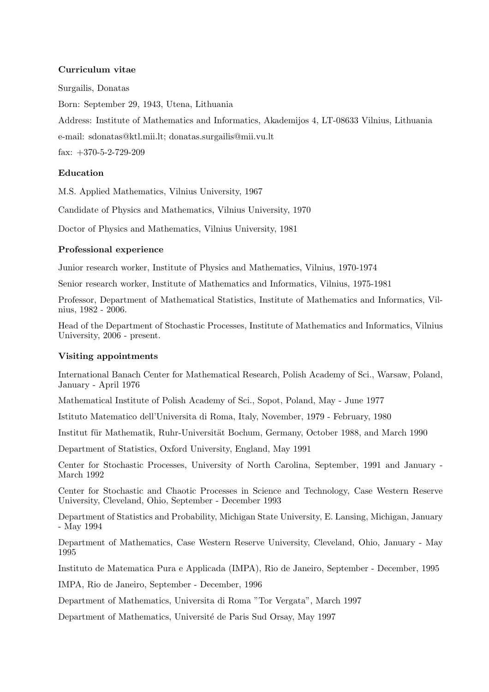## **Curriculum vitae**

Surgailis, Donatas Born: September 29, 1943, Utena, Lithuania Address: Institute of Mathematics and Informatics, Akademijos 4, LT-08633 Vilnius, Lithuania e-mail: sdonatas@ktl.mii.lt; donatas.surgailis@mii.vu.lt fax:  $+370-5-2-729-209$ 

## **Education**

M.S. Applied Mathematics, Vilnius University, 1967

Candidate of Physics and Mathematics, Vilnius University, 1970

Doctor of Physics and Mathematics, Vilnius University, 1981

## **Professional experience**

Junior research worker, Institute of Physics and Mathematics, Vilnius, 1970-1974

Senior research worker, Institute of Mathematics and Informatics, Vilnius, 1975-1981

Professor, Department of Mathematical Statistics, Institute of Mathematics and Informatics, Vilnius, 1982 - 2006.

Head of the Department of Stochastic Processes, Institute of Mathematics and Informatics, Vilnius University, 2006 - present.

# **Visiting appointments**

International Banach Center for Mathematical Research, Polish Academy of Sci., Warsaw, Poland, January - April 1976

Mathematical Institute of Polish Academy of Sci., Sopot, Poland, May - June 1977

Istituto Matematico dell'Universita di Roma, Italy, November, 1979 - February, 1980

Institut für Mathematik, Ruhr-Universität Bochum, Germany, October 1988, and March 1990

Department of Statistics, Oxford University, England, May 1991

Center for Stochastic Processes, University of North Carolina, September, 1991 and January - March 1992

Center for Stochastic and Chaotic Processes in Science and Technology, Case Western Reserve University, Cleveland, Ohio, September - December 1993

Department of Statistics and Probability, Michigan State University, E. Lansing, Michigan, January - May 1994

Department of Mathematics, Case Western Reserve University, Cleveland, Ohio, January - May 1995

Instituto de Matematica Pura e Applicada (IMPA), Rio de Janeiro, September - December, 1995

IMPA, Rio de Janeiro, September - December, 1996

Department of Mathematics, Universita di Roma "Tor Vergata", March 1997

Department of Mathematics, Université de Paris Sud Orsay, May 1997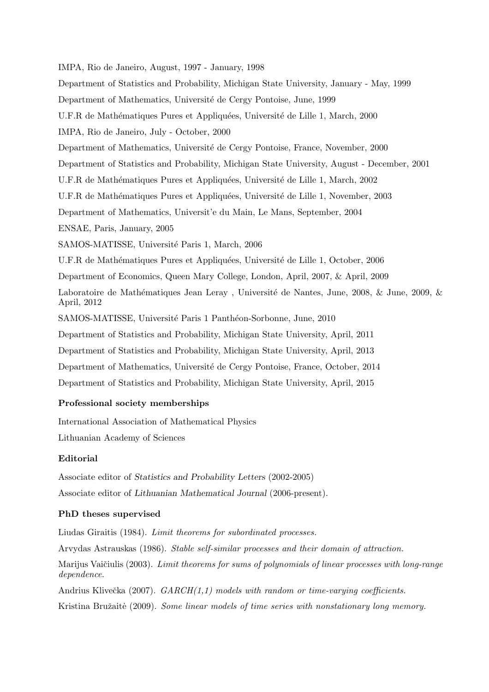IMPA, Rio de Janeiro, August, 1997 - January, 1998 Department of Statistics and Probability, Michigan State University, January - May, 1999 Department of Mathematics, Université de Cergy Pontoise, June, 1999 U.F.R de Mathématiques Pures et Appliquées, Université de Lille 1, March, 2000 IMPA, Rio de Janeiro, July - October, 2000 Department of Mathematics, Université de Cergy Pontoise, France, November, 2000 Department of Statistics and Probability, Michigan State University, August - December, 2001 U.F.R de Mathématiques Pures et Appliquées, Université de Lille 1, March, 2002 U.F.R de Mathématiques Pures et Appliquées, Université de Lille 1, November, 2003 Department of Mathematics, Universit'e du Main, Le Mans, September, 2004 ENSAE, Paris, January, 2005 SAMOS-MATISSE, Université Paris 1, March, 2006 U.F.R de Mathématiques Pures et Appliquées, Université de Lille 1, October, 2006 Department of Economics, Queen Mary College, London, April, 2007, & April, 2009 Laboratoire de Mathématiques Jean Leray, Université de Nantes, June, 2008, & June, 2009, & April, 2012 SAMOS-MATISSE, Université Paris 1 Panthéon-Sorbonne, June, 2010 Department of Statistics and Probability, Michigan State University, April, 2011 Department of Statistics and Probability, Michigan State University, April, 2013 Department of Mathematics, Universit´e de Cergy Pontoise, France, October, 2014 Department of Statistics and Probability, Michigan State University, April, 2015 **Professional society memberships**

International Association of Mathematical Physics

Lithuanian Academy of Sciences

# **Editorial**

Associate editor of *Statistics and Probability Letters* (2002-2005) Associate editor of *Lithuanian Mathematical Journal* (2006-present).

# **PhD theses supervised**

Liudas Giraitis (1984). *Limit theorems for subordinated processes.*

Arvydas Astrauskas (1986). *Stable self-similar processes and their domain of attraction.*

Marijus Vaičiulis (2003). *Limit theorems for sums of polynomials of linear processes with long-range dependence.*

Andrius Klivečka (2007). *GARCH(1,1)* models with random or time-varying coefficients.

Kristina Bružaitė (2009). *Some linear models of time series with nonstationary long memory.*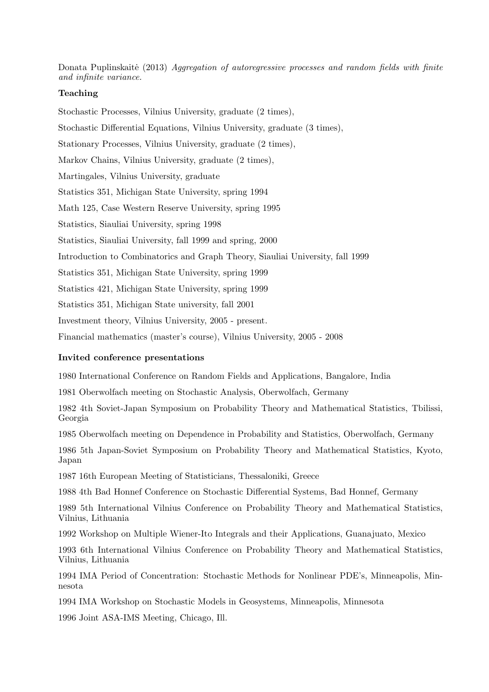Donata Puplinskaitė (2013) *Aggregation of autoregressive processes and random fields with finite and infinite variance.*

# **Teaching**

Stochastic Processes, Vilnius University, graduate (2 times), Stochastic Differential Equations, Vilnius University, graduate (3 times), Stationary Processes, Vilnius University, graduate (2 times), Markov Chains, Vilnius University, graduate (2 times), Martingales, Vilnius University, graduate Statistics 351, Michigan State University, spring 1994 Math 125, Case Western Reserve University, spring 1995 Statistics, Siauliai University, spring 1998 Statistics, Siauliai University, fall 1999 and spring, 2000 Introduction to Combinatorics and Graph Theory, Siauliai University, fall 1999 Statistics 351, Michigan State University, spring 1999 Statistics 421, Michigan State University, spring 1999 Statistics 351, Michigan State university, fall 2001 Investment theory, Vilnius University, 2005 - present.

Financial mathematics (master's course), Vilnius University, 2005 - 2008

#### **Invited conference presentations**

1980 International Conference on Random Fields and Applications, Bangalore, India

1981 Oberwolfach meeting on Stochastic Analysis, Oberwolfach, Germany

1982 4th Soviet-Japan Symposium on Probability Theory and Mathematical Statistics, Tbilissi, Georgia

1985 Oberwolfach meeting on Dependence in Probability and Statistics, Oberwolfach, Germany

1986 5th Japan-Soviet Symposium on Probability Theory and Mathematical Statistics, Kyoto, Japan

1987 16th European Meeting of Statisticians, Thessaloniki, Greece

1988 4th Bad Honnef Conference on Stochastic Differential Systems, Bad Honnef, Germany

1989 5th International Vilnius Conference on Probability Theory and Mathematical Statistics, Vilnius, Lithuania

1992 Workshop on Multiple Wiener-Ito Integrals and their Applications, Guanajuato, Mexico

1993 6th International Vilnius Conference on Probability Theory and Mathematical Statistics, Vilnius, Lithuania

1994 IMA Period of Concentration: Stochastic Methods for Nonlinear PDE's, Minneapolis, Minnesota

1994 IMA Workshop on Stochastic Models in Geosystems, Minneapolis, Minnesota

1996 Joint ASA-IMS Meeting, Chicago, Ill.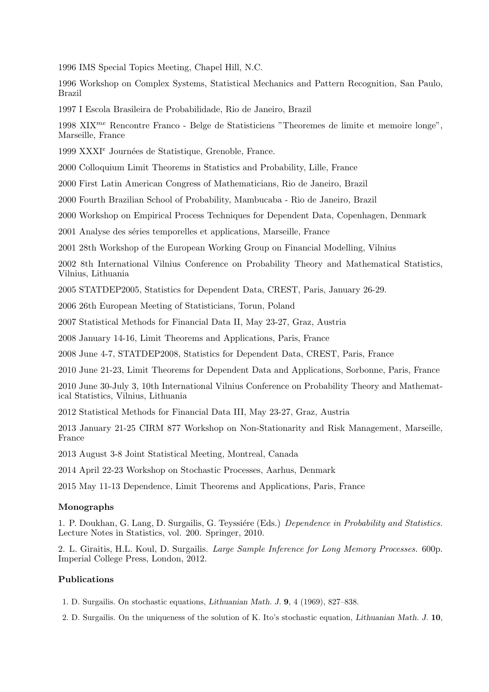1996 IMS Special Topics Meeting, Chapel Hill, N.C.

1996 Workshop on Complex Systems, Statistical Mechanics and Pattern Recognition, San Paulo, Brazil

1997 I Escola Brasileira de Probabilidade, Rio de Janeiro, Brazil

1998 XIX*me* Rencontre Franco - Belge de Statisticiens "Theoremes de limite et memoire longe", Marseille, France

1999 XXXI<sup>e</sup> Journées de Statistique, Grenoble, France.

2000 Colloquium Limit Theorems in Statistics and Probability, Lille, France

2000 First Latin American Congress of Mathematicians, Rio de Janeiro, Brazil

2000 Fourth Brazilian School of Probability, Mambucaba - Rio de Janeiro, Brazil

2000 Workshop on Empirical Process Techniques for Dependent Data, Copenhagen, Denmark

2001 Analyse des séries temporelles et applications, Marseille, France

2001 28th Workshop of the European Working Group on Financial Modelling, Vilnius

2002 8th International Vilnius Conference on Probability Theory and Mathematical Statistics, Vilnius, Lithuania

2005 STATDEP2005, Statistics for Dependent Data, CREST, Paris, January 26-29.

2006 26th European Meeting of Statisticians, Torun, Poland

2007 Statistical Methods for Financial Data II, May 23-27, Graz, Austria

2008 January 14-16, Limit Theorems and Applications, Paris, France

2008 June 4-7, STATDEP2008, Statistics for Dependent Data, CREST, Paris, France

2010 June 21-23, Limit Theorems for Dependent Data and Applications, Sorbonne, Paris, France

2010 June 30-July 3, 10th International Vilnius Conference on Probability Theory and Mathematical Statistics, Vilnius, Lithuania

2012 Statistical Methods for Financial Data III, May 23-27, Graz, Austria

2013 January 21-25 CIRM 877 Workshop on Non-Stationarity and Risk Management, Marseille, France

2013 August 3-8 Joint Statistical Meeting, Montreal, Canada

2014 April 22-23 Workshop on Stochastic Processes, Aarhus, Denmark

2015 May 11-13 Dependence, Limit Theorems and Applications, Paris, France

#### **Monographs**

1. P. Doukhan, G. Lang, D. Surgailis, G. Teyssière (Eds.) *Dependence in Probability and Statistics.* Lecture Notes in Statistics, vol. 200. Springer, 2010.

2. L. Giraitis, H.L. Koul, D. Surgailis. *Large Sample Inference for Long Memory Processes.* 600p. Imperial College Press, London, 2012.

### **Publications**

- 1. D. Surgailis. On stochastic equations, *Lithuanian Math. J.* **9**, 4 (1969), 827–838.
- 2. D. Surgailis. On the uniqueness of the solution of K. Ito's stochastic equation, *Lithuanian Math. J.* **10**,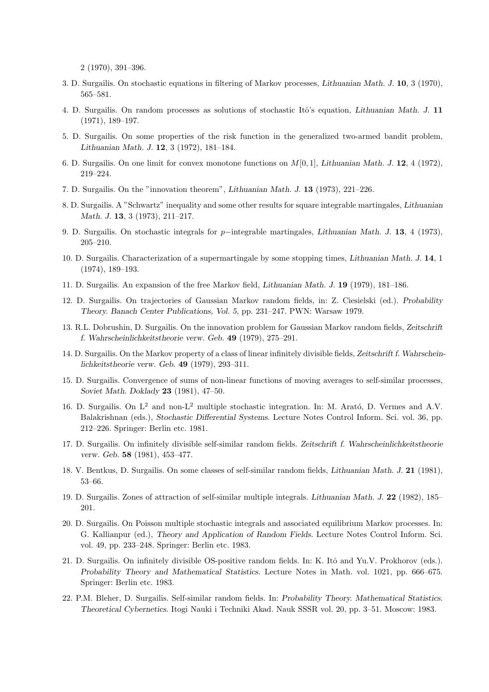2 (1970), 391–396.

- 3. D. Surgailis. On stochastic equations in filtering of Markov processes, *Lithuanian Math. J.* **10**, 3 (1970), 565–581.
- 4. D. Surgailis. On random processes as solutions of stochastic Itˆo's equation, *Lithuanian Math. J.* **11** (1971), 189–197.
- 5. D. Surgailis. On some properties of the risk function in the generalized two-armed bandit problem, *Lithuanian Math. J.* **12**, 3 (1972), 181–184.
- 6. D. Surgailis. On one limit for convex monotone functions on *M*[0*,* 1], *Lithuanian Math. J.* **12**, 4 (1972), 219–224.
- 7. D. Surgailis. On the "innovation theorem", *Lithuanian Math. J.* **13** (1973), 221–226.
- 8. D. Surgailis. A "Schwartz" inequality and some other results for square integrable martingales, *Lithuanian Math. J.* **13**, 3 (1973), 211–217.
- 9. D. Surgailis. On stochastic integrals for *p−*integrable martingales, *Lithuanian Math. J.* **13**, 4 (1973), 205–210.
- 10. D. Surgailis. Characterization of a supermartingale by some stopping times, *Lithuanian Math. J.* **14**, 1 (1974), 189–193.
- 11. D. Surgailis. An expansion of the free Markov field, *Lithuanian Math. J.* **19** (1979), 181–186.
- 12. D. Surgailis. On trajectories of Gaussian Markov random fields, in: Z. Ciesielski (ed.). *Probability Theory. Banach Center Publications, Vol. 5*, pp. 231–247. PWN: Warsaw 1979.
- 13. R.L. Dobrushin, D. Surgailis. On the innovation problem for Gaussian Markov random fields, *Zeitschrift f. Wahrscheinlichkeitstheorie verw. Geb.* **49** (1979), 275–291.
- 14. D. Surgailis. On the Markov property of a class of linear infinitely divisible fields, *Zeitschrift f. Wahrscheinlichkeitstheorie verw. Geb.* **49** (1979), 293–311.
- 15. D. Surgailis. Convergence of sums of non-linear functions of moving averages to self-similar processes, *Soviet Math. Doklady* **23** (1981), 47–50.
- 16. D. Surgailis. On  $L^2$  and non- $L^2$  multiple stochastic integration. In: M. Arató, D. Vermes and A.V. Balakrishnan (eds.), *Stochastic Differential Systems.* Lecture Notes Control Inform. Sci. vol. 36, pp. 212–226. Springer: Berlin etc. 1981.
- 17. D. Surgailis. On infinitely divisible self-similar random fields. *Zeitschrift f. Wahrscheinlichkeitstheorie verw. Geb.* **58** (1981), 453–477.
- 18. V. Bentkus, D. Surgailis. On some classes of self-similar random fields, *Lithuanian Math. J.* **21** (1981), 53–66.
- 19. D. Surgailis. Zones of attraction of self-similar multiple integrals. *Lithuanian Math. J.* **22** (1982), 185– 201.
- 20. D. Surgailis. On Poisson multiple stochastic integrals and associated equilibrium Markov processes. In: G. Kallianpur (ed.), *Theory and Application of Random Fields.* Lecture Notes Control Inform. Sci. vol. 49, pp. 233–248. Springer: Berlin etc. 1983.
- 21. D. Surgailis. On infinitely divisible OS-positive random fields. In: K. Itô and Yu.V. Prokhorov (eds.). *Probability Theory and Mathematical Statistics.* Lecture Notes in Math. vol. 1021, pp. 666–675. Springer: Berlin etc. 1983.
- 22. P.M. Bleher, D. Surgailis. Self-similar random fields. In: *Probability Theory. Mathematical Statistics. Theoretical Cybernetics.* Itogi Nauki i Techniki Akad. Nauk SSSR vol. 20, pp. 3–51. Moscow: 1983.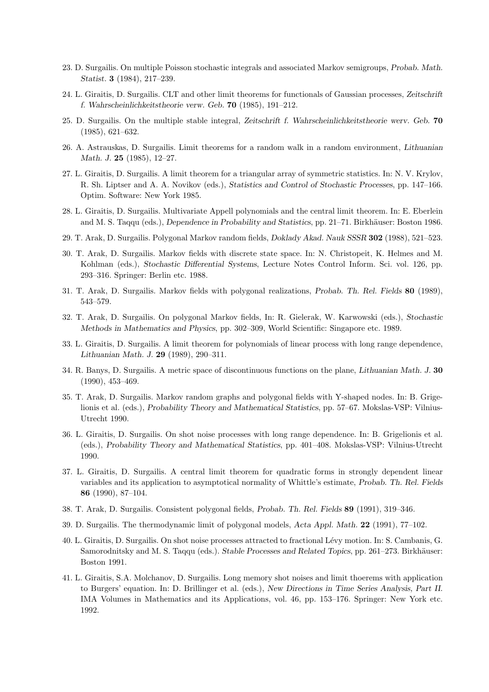- 23. D. Surgailis. On multiple Poisson stochastic integrals and associated Markov semigroups, *Probab. Math. Statist.* **3** (1984), 217–239.
- 24. L. Giraitis, D. Surgailis. CLT and other limit theorems for functionals of Gaussian processes, *Zeitschrift f. Wahrscheinlichkeitstheorie verw. Geb.* **70** (1985), 191–212.
- 25. D. Surgailis. On the multiple stable integral, *Zeitschrift f. Wahrscheinlichkeitstheorie werv. Geb.* **70** (1985), 621–632.
- 26. A. Astrauskas, D. Surgailis. Limit theorems for a random walk in a random environment, *Lithuanian Math. J.* **25** (1985), 12–27.
- 27. L. Giraitis, D. Surgailis. A limit theorem for a triangular array of symmetric statistics. In: N. V. Krylov, R. Sh. Liptser and A. A. Novikov (eds.), *Statistics and Control of Stochastic Processes*, pp. 147–166. Optim. Software: New York 1985.
- 28. L. Giraitis, D. Surgailis. Multivariate Appell polynomials and the central limit theorem. In: E. Eberlein and M. S. Taqqu (eds.), *Dependence in Probability and Statistics*, pp. 21–71. Birkhäuser: Boston 1986.
- 29. T. Arak, D. Surgailis. Polygonal Markov random fields, *Doklady Akad. Nauk SSSR* **302** (1988), 521–523.
- 30. T. Arak, D. Surgailis. Markov fields with discrete state space. In: N. Christopeit, K. Helmes and M. Kohlman (eds.), *Stochastic Differential Systems*, Lecture Notes Control Inform. Sci. vol. 126, pp. 293–316. Springer: Berlin etc. 1988.
- 31. T. Arak, D. Surgailis. Markov fields with polygonal realizations, *Probab. Th. Rel. Fields* **80** (1989), 543–579.
- 32. T. Arak, D. Surgailis. On polygonal Markov fields, In: R. Gielerak, W. Karwowski (eds.), *Stochastic Methods in Mathematics and Physics*, pp. 302–309, World Scientific: Singapore etc. 1989.
- 33. L. Giraitis, D. Surgailis. A limit theorem for polynomials of linear process with long range dependence, *Lithuanian Math. J.* **29** (1989), 290–311.
- 34. R. Banys, D. Surgailis. A metric space of discontinuous functions on the plane, *Lithuanian Math. J.* **30** (1990), 453–469.
- 35. T. Arak, D. Surgailis. Markov random graphs and polygonal fields with Y-shaped nodes. In: B. Grigelionis et al. (eds.), *Probability Theory and Mathematical Statistics*, pp. 57–67. Mokslas-VSP: Vilnius-Utrecht 1990.
- 36. L. Giraitis, D. Surgailis. On shot noise processes with long range dependence. In: B. Grigelionis et al. (eds.), *Probability Theory and Mathematical Statistics*, pp. 401–408. Mokslas-VSP: Vilnius-Utrecht 1990.
- 37. L. Giraitis, D. Surgailis. A central limit theorem for quadratic forms in strongly dependent linear variables and its application to asymptotical normality of Whittle's estimate, *Probab. Th. Rel. Fields* **86** (1990), 87–104.
- 38. T. Arak, D. Surgailis. Consistent polygonal fields, *Probab. Th. Rel. Fields* **89** (1991), 319–346.
- 39. D. Surgailis. The thermodynamic limit of polygonal models, *Acta Appl. Math.* **22** (1991), 77–102.
- 40. L. Giraitis, D. Surgailis. On shot noise processes attracted to fractional L´evy motion. In: S. Cambanis, G. Samorodnitsky and M. S. Taqqu (eds.). *Stable Processes and Related Topics*, pp. 261–273. Birkhäuser: Boston 1991.
- 41. L. Giraitis, S.A. Molchanov, D. Surgailis. Long memory shot noises and limit thoerems with application to Burgers' equation. In: D. Brillinger et al. (eds.), *New Directions in Time Series Analysis, Part II*. IMA Volumes in Mathematics and its Applications, vol. 46, pp. 153–176. Springer: New York etc. 1992.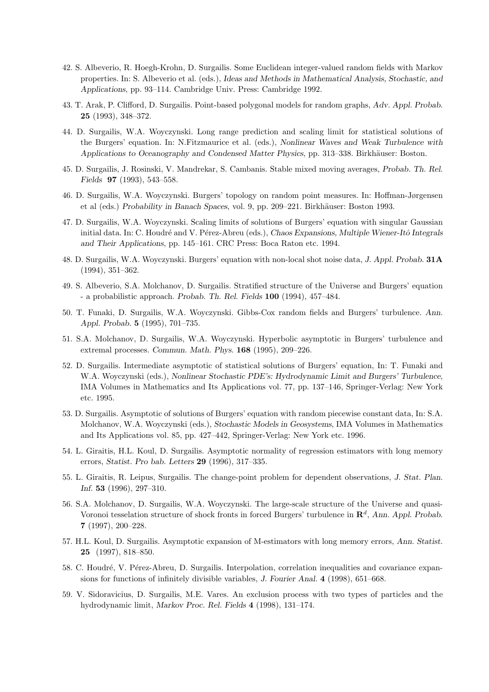- 42. S. Albeverio, R. Hoegh-Krohn, D. Surgailis. Some Euclidean integer-valued random fields with Markov properties. In: S. Albeverio et al. (eds.), *Ideas and Methods in Mathematical Analysis, Stochastic, and Applications*, pp. 93–114. Cambridge Univ. Press: Cambridge 1992.
- 43. T. Arak, P. Clifford, D. Surgailis. Point-based polygonal models for random graphs, *Adv. Appl. Probab.* **25** (1993), 348–372.
- 44. D. Surgailis, W.A. Woyczynski. Long range prediction and scaling limit for statistical solutions of the Burgers' equation. In: N.Fitzmaurice et al. (eds.), *Nonlinear Waves and Weak Turbulence with Applications to Oceanography and Condensed Matter Physics*, pp. 313–338. Birkhäuser: Boston.
- 45. D. Surgailis, J. Rosinski, V. Mandrekar, S. Cambanis. Stable mixed moving averages, *Probab. Th. Rel. Fields* **97** (1993), 543–558.
- 46. D. Surgailis, W.A. Woyczynski. Burgers' topology on random point measures. In: Hoffman-Jørgensen et al (eds.) *Probability in Banach Spaces*, vol. 9, pp. 209–221. Birkhäuser: Boston 1993.
- 47. D. Surgailis, W.A. Woyczynski. Scaling limits of solutions of Burgers' equation with singular Gaussian initial data. In: C. Houdré and V. Pérez-Abreu (eds.), *Chaos Expansions, Multiple Wiener-Itô Integrals and Their Applications*, pp. 145–161. CRC Press: Boca Raton etc. 1994.
- 48. D. Surgailis, W.A. Woyczynski. Burgers' equation with non-local shot noise data, *J. Appl. Probab.* **31A** (1994), 351–362.
- 49. S. Albeverio, S.A. Molchanov, D. Surgailis. Stratified structure of the Universe and Burgers' equation - a probabilistic approach. *Probab. Th. Rel. Fields* **100** (1994), 457–484.
- 50. T. Funaki, D. Surgailis, W.A. Woyczynski. Gibbs-Cox random fields and Burgers' turbulence. *Ann. Appl. Probab.* **5** (1995), 701–735.
- 51. S.A. Molchanov, D. Surgailis, W.A. Woyczynski. Hyperbolic asymptotic in Burgers' turbulence and extremal processes. *Commun. Math. Phys.* **168** (1995), 209–226.
- 52. D. Surgailis. Intermediate asymptotic of statistical solutions of Burgers' equation, In: T. Funaki and W.A. Woyczynski (eds.), *Nonlinear Stochastic PDE's: Hydrodynamic Limit and Burgers' Turbulence*, IMA Volumes in Mathematics and Its Applications vol. 77, pp. 137–146, Springer-Verlag: New York etc. 1995.
- 53. D. Surgailis. Asymptotic of solutions of Burgers' equation with random piecewise constant data, In: S.A. Molchanov, W.A. Woyczynski (eds.), *Stochastic Models in Geosystems*, IMA Volumes in Mathematics and Its Applications vol. 85, pp. 427–442, Springer-Verlag: New York etc. 1996.
- 54. L. Giraitis, H.L. Koul, D. Surgailis. Asymptotic normality of regression estimators with long memory errors, *Statist. Pro bab. Letters* **29** (1996), 317–335.
- 55. L. Giraitis, R. Leipus, Surgailis. The change-point problem for dependent observations, *J. Stat. Plan. Inf.* **53** (1996), 297–310.
- 56. S.A. Molchanov, D. Surgailis, W.A. Woyczynski. The large-scale structure of the Universe and quasi-Voronoi tesselation structure of shock fronts in forced Burgers' turbulence in **R***<sup>d</sup>* , *Ann. Appl. Probab.* **7** (1997), 200–228.
- 57. H.L. Koul, D. Surgailis. Asymptotic expansion of M-estimators with long memory errors, *Ann. Statist.* **25** (1997), 818–850.
- 58. C. Houdré, V. Pérez-Abreu, D. Surgailis. Interpolation, correlation inequalities and covariance expansions for functions of infinitely divisible variables, *J. Fourier Anal.* **4** (1998), 651–668.
- 59. V. Sidoravicius, D. Surgailis, M.E. Vares. An exclusion process with two types of particles and the hydrodynamic limit, *Markov Proc. Rel. Fields* **4** (1998), 131–174.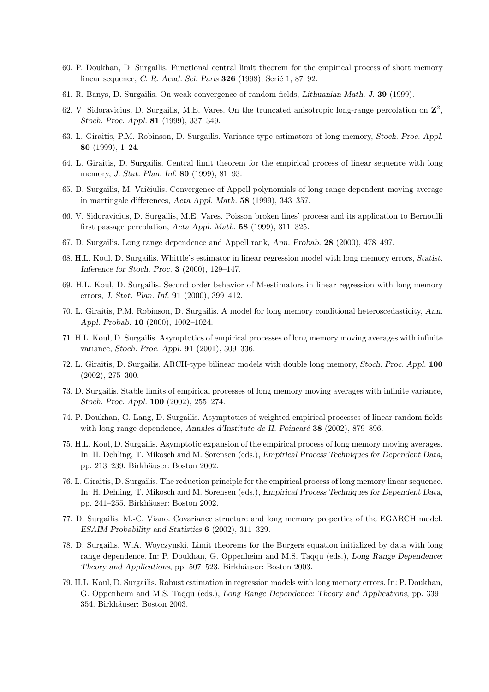- 60. P. Doukhan, D. Surgailis. Functional central limit theorem for the empirical process of short memory linear sequence, *C. R. Acad. Sci. Paris* **326** (1998), Serié 1, 87–92.
- 61. R. Banys, D. Surgailis. On weak convergence of random fields, *Lithuanian Math. J.* **39** (1999).
- 62. V. Sidoravicius, D. Surgailis, M.E. Vares. On the truncated anisotropic long-range percolation on **Z** 2 , *Stoch. Proc. Appl.* **81** (1999), 337–349.
- 63. L. Giraitis, P.M. Robinson, D. Surgailis. Variance-type estimators of long memory, *Stoch. Proc. Appl.* **80** (1999), 1–24.
- 64. L. Giraitis, D. Surgailis. Central limit theorem for the empirical process of linear sequence with long memory, *J. Stat. Plan. Inf.* **80** (1999), 81–93.
- 65. D. Surgailis, M. Vaičiulis. Convergence of Appell polynomials of long range dependent moving average in martingale differences, *Acta Appl. Math.* **58** (1999), 343–357.
- 66. V. Sidoravicius, D. Surgailis, M.E. Vares. Poisson broken lines' process and its application to Bernoulli first passage percolation, *Acta Appl. Math.* **58** (1999), 311–325.
- 67. D. Surgailis. Long range dependence and Appell rank, *Ann. Probab.* **28** (2000), 478–497.
- 68. H.L. Koul, D. Surgailis. Whittle's estimator in linear regression model with long memory errors, *Statist. Inference for Stoch. Proc.* **3** (2000), 129–147.
- 69. H.L. Koul, D. Surgailis. Second order behavior of M-estimators in linear regression with long memory errors, *J. Stat. Plan. Inf.* **91** (2000), 399–412.
- 70. L. Giraitis, P.M. Robinson, D. Surgailis. A model for long memory conditional heteroscedasticity, *Ann. Appl. Probab.* **10** (2000), 1002–1024.
- 71. H.L. Koul, D. Surgailis. Asymptotics of empirical processes of long memory moving averages with infinite variance, *Stoch. Proc. Appl.* **91** (2001), 309–336.
- 72. L. Giraitis, D. Surgailis. ARCH-type bilinear models with double long memory, *Stoch. Proc. Appl.* **100** (2002), 275–300.
- 73. D. Surgailis. Stable limits of empirical processes of long memory moving averages with infinite variance, *Stoch. Proc. Appl.* **100** (2002), 255–274.
- 74. P. Doukhan, G. Lang, D. Surgailis. Asymptotics of weighted empirical processes of linear random fields with long range dependence, *Annales d'Institute de H. Poincaré* **38** (2002), 879–896.
- 75. H.L. Koul, D. Surgailis. Asymptotic expansion of the empirical process of long memory moving averages. In: H. Dehling, T. Mikosch and M. Sorensen (eds.), *Empirical Process Techniques for Dependent Data*, pp. 213–239. Birkh¨auser: Boston 2002.
- 76. L. Giraitis, D. Surgailis. The reduction principle for the empirical process of long memory linear sequence. In: H. Dehling, T. Mikosch and M. Sorensen (eds.), *Empirical Process Techniques for Dependent Data*, pp. 241–255. Birkhäuser: Boston 2002.
- 77. D. Surgailis, M.-C. Viano. Covariance structure and long memory properties of the EGARCH model. *ESAIM Probability and Statistics* **6** (2002), 311–329.
- 78. D. Surgailis, W.A. Woyczynski. Limit theorems for the Burgers equation initialized by data with long range dependence. In: P. Doukhan, G. Oppenheim and M.S. Taqqu (eds.), *Long Range Dependence: Theory and Applications*, pp. 507–523. Birkhäuser: Boston 2003.
- 79. H.L. Koul, D. Surgailis. Robust estimation in regression models with long memory errors. In: P. Doukhan, G. Oppenheim and M.S. Taqqu (eds.), *Long Range Dependence: Theory and Applications*, pp. 339– 354. Birkhäuser: Boston 2003.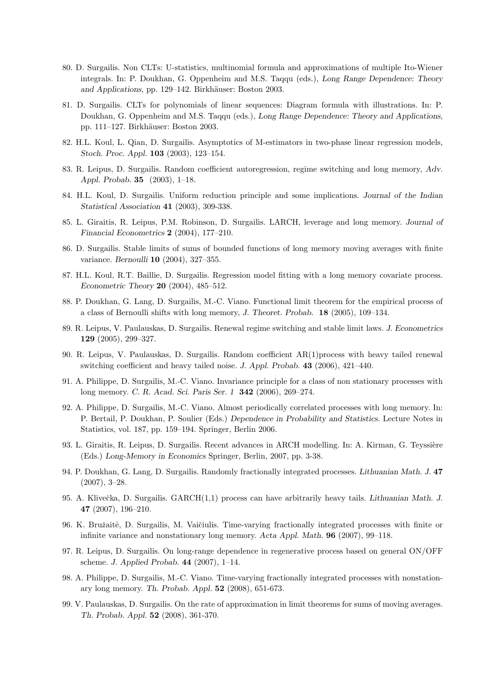- 80. D. Surgailis. Non CLTs: U-statistics, multinomial formula and approximations of multiple Ito-Wiener integrals. In: P. Doukhan, G. Oppenheim and M.S. Taqqu (eds.), *Long Range Dependence: Theory and Applications*, pp. 129–142. Birkhäuser: Boston 2003.
- 81. D. Surgailis. CLTs for polynomials of linear sequences: Diagram formula with illustrations. In: P. Doukhan, G. Oppenheim and M.S. Taqqu (eds.), *Long Range Dependence: Theory and Applications*, pp. 111–127. Birkh¨auser: Boston 2003.
- 82. H.L. Koul, L. Qian, D. Surgailis. Asymptotics of M-estimators in two-phase linear regression models, *Stoch. Proc. Appl.* **103** (2003), 123–154.
- 83. R. Leipus, D. Surgailis. Random coefficient autoregression, regime switching and long memory, *Adv. Appl. Probab.* **35** (2003), 1–18.
- 84. H.L. Koul, D. Surgailis. Uniform reduction principle and some implications. *Journal of the Indian Statistical Association* **41** (2003), 309-338.
- 85. L. Giraitis, R. Leipus, P.M. Robinson, D. Surgailis. LARCH, leverage and long memory. *Journal of Financial Econometrics* **2** (2004), 177–210.
- 86. D. Surgailis. Stable limits of sums of bounded functions of long memory moving averages with finite variance. *Bernoulli* **10** (2004), 327–355.
- 87. H.L. Koul, R.T. Baillie, D. Surgailis. Regression model fitting with a long memory covariate process. *Econometric Theory* **20** (2004), 485–512.
- 88. P. Doukhan, G. Lang, D. Surgailis, M.-C. Viano. Functional limit theorem for the empirical process of a class of Bernoulli shifts with long memory, *J. Theoret. Probab.* **18** (2005), 109–134.
- 89. R. Leipus, V. Paulauskas, D. Surgailis. Renewal regime switching and stable limit laws. *J. Econometrics* **129** (2005), 299–327.
- 90. R. Leipus, V. Paulauskas, D. Surgailis. Random coefficient AR(1)process with heavy tailed renewal switching coefficient and heavy tailed noise. *J. Appl. Probab.* **43** (2006), 421–440.
- 91. A. Philippe, D. Surgailis, M.-C. Viano. Invariance principle for a class of non stationary processes with long memory. *C. R. Acad. Sci. Paris Ser. 1* **342** (2006), 269–274.
- 92. A. Philippe, D. Surgailis, M.-C. Viano. Almost periodically correlated processes with long memory. In: P. Bertail, P. Doukhan, P. Soulier (Eds.) *Dependence in Probability and Statistics.* Lecture Notes in Statistics, vol. 187, pp. 159–194. Springer, Berlin 2006.
- 93. L. Giraitis, R. Leipus, D. Surgailis. Recent advances in ARCH modelling. In: A. Kirman, G. Teyssière (Eds.) *Long-Memory in Economics* Springer, Berlin, 2007, pp. 3-38.
- 94. P. Doukhan, G. Lang, D. Surgailis. Randomly fractionally integrated processes. *Lithuanian Math. J.* **47** (2007), 3–28.
- 95. A. Kliveˇcka, D. Surgailis. GARCH(1,1) process can have arbitrarily heavy tails. *Lithuanian Math. J.* **47** (2007), 196–210.
- 96. K. Bružaitė, D. Surgailis, M. Vaičiulis. Time-varying fractionally integrated processes with finite or infinite variance and nonstationary long memory. *Acta Appl. Math.* **96** (2007), 99–118.
- 97. R. Leipus, D. Surgailis. On long-range dependence in regenerative process based on general ON/OFF scheme. *J. Applied Probab.* **44** (2007), 1–14.
- 98. A. Philippe, D. Surgailis, M.-C. Viano. Time-varying fractionally integrated processes with nonstationary long memory. *Th. Probab. Appl.* **52** (2008), 651-673.
- 99. V. Paulauskas, D. Surgailis. On the rate of approximation in limit theorems for sums of moving averages. *Th. Probab. Appl.* **52** (2008), 361-370.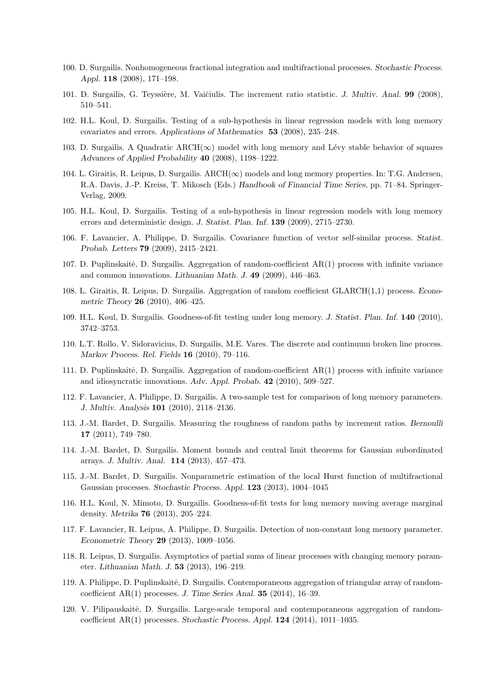- 100. D. Surgailis. Nonhomogeneous fractional integration and multifractional processes. *Stochastic Process. Appl.* **118** (2008), 171–198.
- 101. D. Surgailis, G. Teyssière, M. Vaičiulis. The increment ratio statistic. *J. Multiv. Anal.* **99** (2008), 510–541.
- 102. H.L. Koul, D. Surgailis. Testing of a sub-hypothesis in linear regression models with long memory covariates and errors. *Applications of Mathematics* **53** (2008), 235–248.
- 103. D. Surgailis. A Quadratic ARCH(*∞*) model with long memory and L´evy stable behavior of squares *Advances of Applied Probability* **40** (2008), 1198–1222.
- 104. L. Giraitis, R. Leipus, D. Surgailis. ARCH(*∞*) models and long memory properties. In: T.G. Andersen, R.A. Davis, J.-P. Kreiss, T. Mikosch (Eds.) *Handbook of Financial Time Series*, pp. 71–84. Springer-Verlag, 2009.
- 105. H.L. Koul, D. Surgailis. Testing of a sub-hypothesis in linear regression models with long memory errors and deterministic design. *J. Statist. Plan. Inf.* **139** (2009), 2715–2730.
- 106. F. Lavancier, A. Philippe, D. Surgailis. Covariance function of vector self-similar process. *Statist. Probab. Letters* **79** (2009), 2415–2421.
- 107. D. Puplinskaitė, D. Surgailis. Aggregation of random-coefficient  $AR(1)$  process with infinite variance and common innovations. *Lithuanian Math. J.* **49** (2009), 446–463.
- 108. L. Giraitis, R. Leipus, D. Surgailis. Aggregation of random coefficient GLARCH(1,1) process. *Econometric Theory* **26** (2010), 406–425.
- 109. H.L. Koul, D. Surgailis. Goodness-of-fit testing under long memory. *J. Statist. Plan. Inf.* **140** (2010), 3742–3753.
- 110. L.T. Rollo, V. Sidoravicius, D. Surgailis, M.E. Vares. The discrete and continuum broken line process. *Markov Process. Rel. Fields* **16** (2010), 79–116.
- 111. D. Puplinskaitė, D. Surgailis. Aggregation of random-coefficient  $AR(1)$  process with infinite variance and idiosyncratic innovations. *Adv. Appl. Probab.* **42** (2010), 509–527.
- 112. F. Lavancier, A. Philippe, D. Surgailis. A two-sample test for comparison of long memory parameters. *J. Multiv. Analysis* **101** (2010), 2118–2136.
- 113. J.-M. Bardet, D. Surgailis. Measuring the roughness of random paths by increment ratios. *Bernoulli* **17** (2011), 749–780.
- 114. J.-M. Bardet, D. Surgailis. Moment bounds and central limit theorems for Gaussian subordinated arrays. *J. Multiv. Anal.* **114** (2013), 457–473.
- 115. J.-M. Bardet, D. Surgailis. Nonparametric estimation of the local Hurst function of multifractional Gaussian processes. *Stochastic Process. Appl.* **123** (2013), 1004–1045
- 116. H.L. Koul, N. Mimoto, D. Surgailis. Goodness-of-fit tests for long memory moving average marginal density. *Metrika* **76** (2013), 205–224.
- 117. F. Lavancier, R. Leipus, A. Philippe, D. Surgailis. Detection of non-constant long memory parameter. *Econometric Theory* **29** (2013), 1009–1056.
- 118. R. Leipus, D. Surgailis. Asymptotics of partial sums of linear processes with changing memory parameter. *Lithuanian Math. J.* **53** (2013), 196–219.
- 119. A. Philippe, D. Puplinskaitė, D. Surgailis. Contemporaneous aggregation of triangular array of randomcoefficient AR(1) processes. *J. Time Series Anal.* **35** (2014), 16–39.
- 120. V. Pilipauskaitė, D. Surgailis. Large-scale temporal and contemporaneous aggregation of randomcoefficient AR(1) processes. *Stochastic Process. Appl.* **124** (2014), 1011–1035.